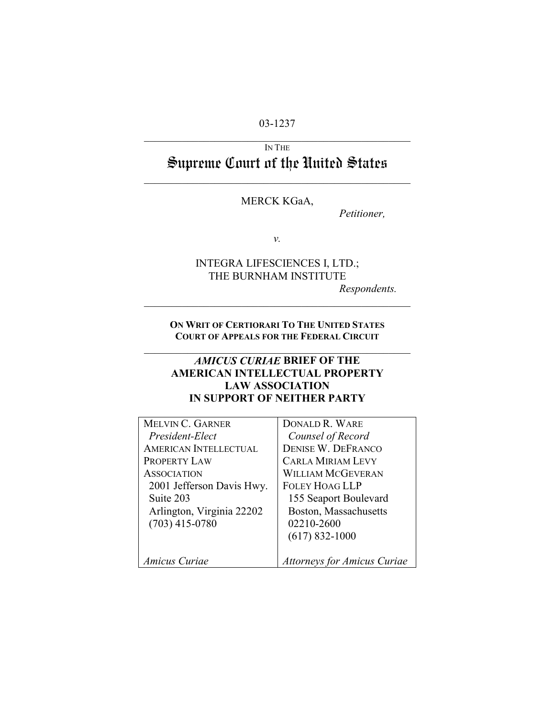## 03-1237  $\mathcal{L}_\text{max}$  , and the contract of the contract of the contract of the contract of the contract of the contract of the contract of the contract of the contract of the contract of the contract of the contract of the contr

# IN THE Supreme Court of the United States

 $\mathcal{L}_\text{max}$  , and the contract of the contract of the contract of the contract of the contract of the contract of the contract of the contract of the contract of the contract of the contract of the contract of the contr

# MERCK KGaA,

*Petitioner,*

*v.*

# INTEGRA LIFESCIENCES I, LTD.; THE BURNHAM INSTITUTE

*Respondents.* 

**ON WRIT OF CERTIORARI TO THE UNITED STATES COURT OF APPEALS FOR THE FEDERAL CIRCUIT**  $\mathcal{L}_\text{max}$  , and the contract of the contract of the contract of the contract of the contract of the contract of the contract of the contract of the contract of the contract of the contract of the contract of the contr

 $\mathcal{L}_\text{max}$  , and the contract of the contract of the contract of the contract of the contract of the contract of the contract of the contract of the contract of the contract of the contract of the contract of the contr

# *AMICUS CURIAE* **BRIEF OF THE AMERICAN INTELLECTUAL PROPERTY LAW ASSOCIATION IN SUPPORT OF NEITHER PARTY**

| <b>MELVIN C. GARNER</b>      | <b>DONALD R. WARE</b>              |
|------------------------------|------------------------------------|
| President-Elect              | Counsel of Record                  |
| <b>AMERICAN INTELLECTUAL</b> | <b>DENISE W. DEFRANCO</b>          |
| PROPERTY LAW                 | <b>CARLA MIRIAM LEVY</b>           |
| <b>ASSOCIATION</b>           | <b>WILLIAM MCGEVERAN</b>           |
| 2001 Jefferson Davis Hwy.    | <b>FOLEY HOAG LLP</b>              |
| Suite 203                    | 155 Seaport Boulevard              |
| Arlington, Virginia 22202    | Boston, Massachusetts              |
| $(703)$ 415-0780             | 02210-2600                         |
|                              | $(617)$ 832-1000                   |
| Amicus Curiae                | <b>Attorneys for Amicus Curiae</b> |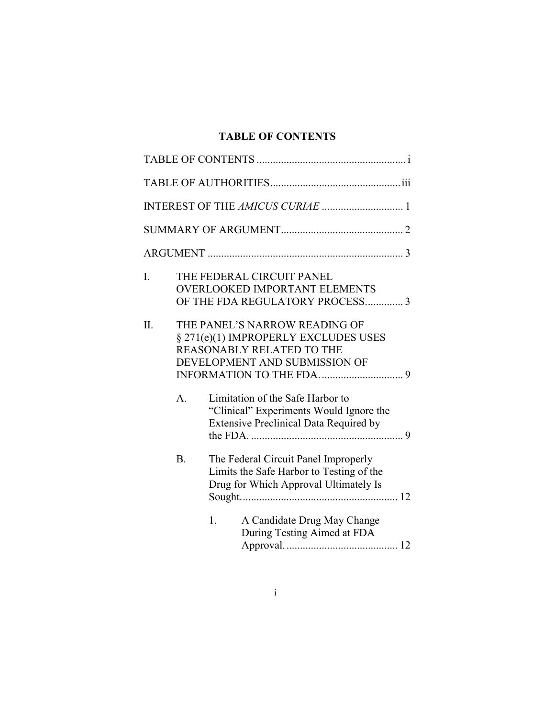# **TABLE OF CONTENTS**

| I.  |              | THE FEDERAL CIRCUIT PANEL<br><b>OVERLOOKED IMPORTANT ELEMENTS</b><br>OF THE FDA REGULATORY PROCESS3                                        |  |
|-----|--------------|--------------------------------------------------------------------------------------------------------------------------------------------|--|
| II. |              | THE PANEL'S NARROW READING OF<br>§ 271(e)(1) IMPROPERLY EXCLUDES USES<br><b>REASONABLY RELATED TO THE</b><br>DEVELOPMENT AND SUBMISSION OF |  |
|     | $\mathsf{A}$ | Limitation of the Safe Harbor to<br>"Clinical" Experiments Would Ignore the<br><b>Extensive Preclinical Data Required by</b>               |  |
|     | B.           | The Federal Circuit Panel Improperly<br>Limits the Safe Harbor to Testing of the<br>Drug for Which Approval Ultimately Is                  |  |
|     |              | A Candidate Drug May Change<br>1.<br>During Testing Aimed at FDA                                                                           |  |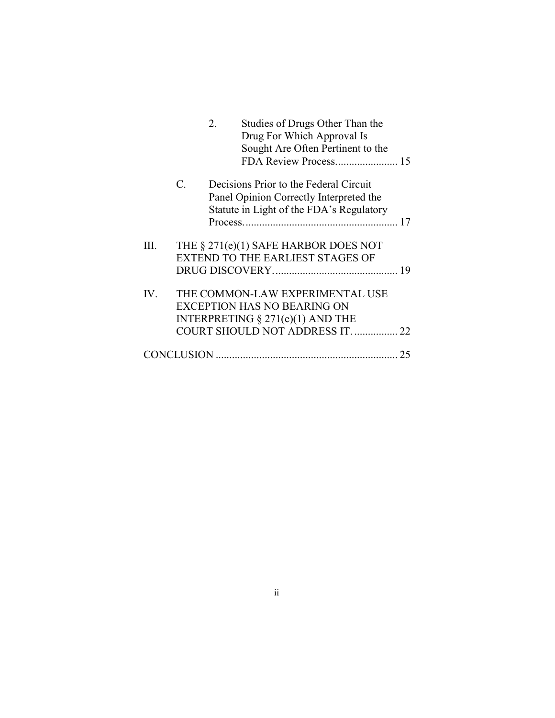|      |                 | $2^{\circ}$ | Studies of Drugs Other Than the<br>Drug For Which Approval Is |    |
|------|-----------------|-------------|---------------------------------------------------------------|----|
|      |                 |             | Sought Are Often Pertinent to the                             |    |
|      |                 |             |                                                               |    |
|      | $\mathcal{C}$ . |             | Decisions Prior to the Federal Circuit                        |    |
|      |                 |             | Panel Opinion Correctly Interpreted the                       |    |
|      |                 |             | Statute in Light of the FDA's Regulatory                      |    |
|      |                 |             |                                                               |    |
|      |                 |             |                                                               |    |
| III. |                 |             | THE § 271(e)(1) SAFE HARBOR DOES NOT                          |    |
|      |                 |             | <b>EXTEND TO THE EARLIEST STAGES OF</b>                       |    |
|      |                 |             |                                                               |    |
|      |                 |             |                                                               |    |
| IV.  |                 |             | THE COMMON-LAW EXPERIMENTAL USE                               |    |
|      |                 |             | <b>EXCEPTION HAS NO BEARING ON</b>                            |    |
|      |                 |             | INTERPRETING $\S 271(e)(1)$ AND THE                           |    |
|      |                 |             | COURT SHOULD NOT ADDRESS IT.  22                              |    |
|      |                 |             |                                                               |    |
|      |                 |             |                                                               | 25 |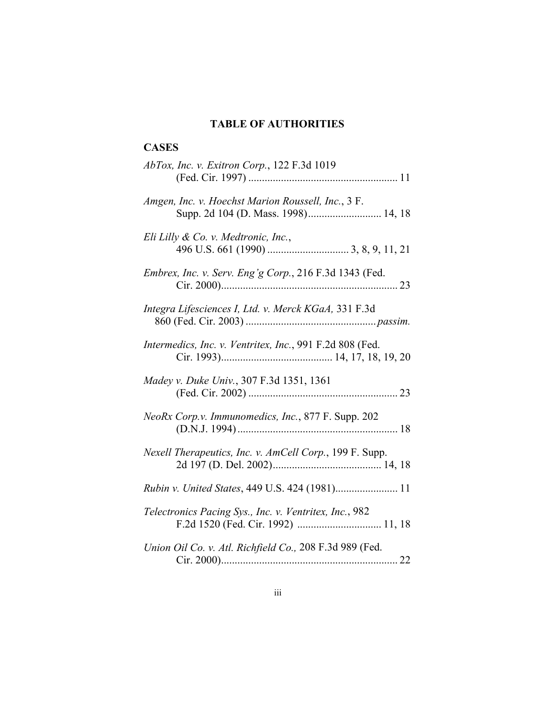#### **TABLE OF AUTHORITIES**

# **CASES** *AbTox, Inc. v. Exitron Corp.*, 122 F.3d 1019 (Fed. Cir. 1997) ....................................................... 11 *Amgen, Inc. v. Hoechst Marion Roussell, Inc.*, 3 F. Supp. 2d 104 (D. Mass. 1998)........................... 14, 18 *Eli Lilly & Co. v. Medtronic, Inc.*, 496 U.S. 661 (1990) .............................. 3, 8, 9, 11, 21 *Embrex, Inc. v. Serv. Eng'g Corp.*, 216 F.3d 1343 (Fed. Cir. 2000)................................................................. 23 *Integra Lifesciences I, Ltd. v. Merck KGaA,* 331 F.3d 860 (Fed. Cir. 2003) ................................................ *passim. Intermedics, Inc. v. Ventritex, Inc.*, 991 F.2d 808 (Fed. Cir. 1993)......................................... 14, 17, 18, 19, 20 *Madey v. Duke Univ.*, 307 F.3d 1351, 1361 (Fed. Cir. 2002) ....................................................... 23 *NeoRx Corp.v. Immunomedics, Inc.*, 877 F. Supp. 202 (D.N.J. 1994) ........................................................... 18 *Nexell Therapeutics, Inc. v. AmCell Corp.*, 199 F. Supp. 2d 197 (D. Del. 2002)........................................ 14, 18 *Rubin v. United States*, 449 U.S. 424 (1981)....................... 11 *Telectronics Pacing Sys., Inc. v. Ventritex, Inc.*, 982 F.2d 1520 (Fed. Cir. 1992) ............................... 11, 18 *Union Oil Co. v. Atl. Richfield Co.,* 208 F.3d 989 (Fed. Cir. 2000)................................................................. 22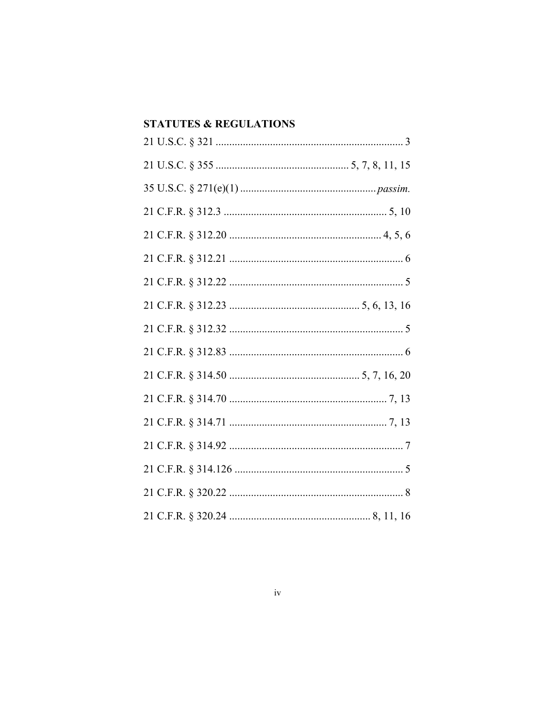# **STATUTES & REGULATIONS**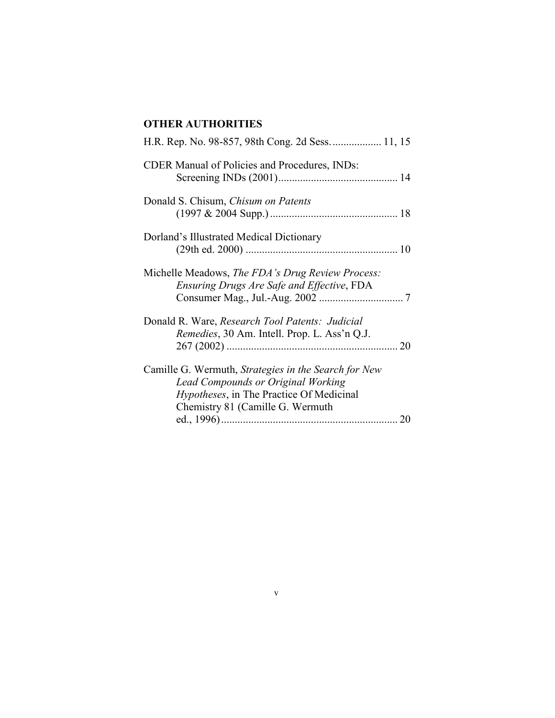# **OTHER AUTHORITIES**

| H.R. Rep. No. 98-857, 98th Cong. 2d Sess 11, 15                                                                                                                                            |    |
|--------------------------------------------------------------------------------------------------------------------------------------------------------------------------------------------|----|
| <b>CDER Manual of Policies and Procedures, INDs:</b>                                                                                                                                       |    |
| Donald S. Chisum, Chisum on Patents                                                                                                                                                        |    |
| Dorland's Illustrated Medical Dictionary                                                                                                                                                   |    |
| Michelle Meadows, The FDA's Drug Review Process:<br>Ensuring Drugs Are Safe and Effective, FDA                                                                                             |    |
| Donald R. Ware, Research Tool Patents: Judicial<br><i>Remedies</i> , 30 Am. Intell. Prop. L. Ass'n Q.J.                                                                                    |    |
| Camille G. Wermuth, Strategies in the Search for New<br><b>Lead Compounds or Original Working</b><br><i>Hypotheses</i> , in The Practice Of Medicinal<br>Chemistry 81 (Camille G. Wermuth) | 20 |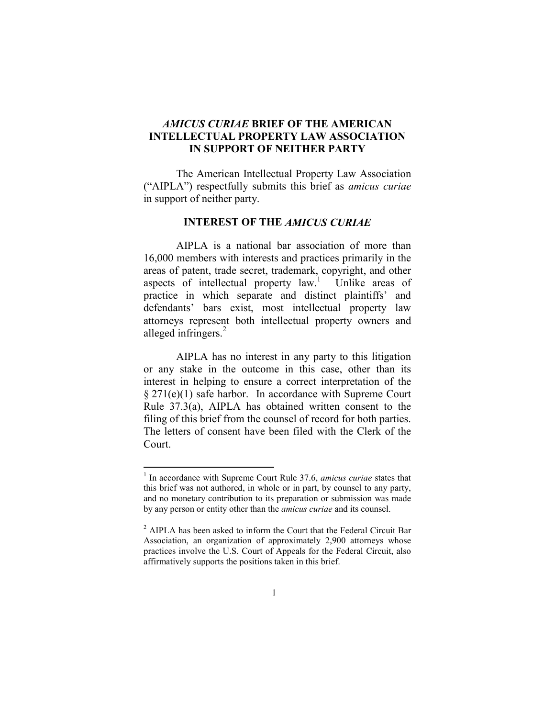# *AMICUS CURIAE* **BRIEF OF THE AMERICAN INTELLECTUAL PROPERTY LAW ASSOCIATION IN SUPPORT OF NEITHER PARTY**

The American Intellectual Property Law Association ("AIPLA") respectfully submits this brief as *amicus curiae* in support of neither party.

### **INTEREST OF THE** *AMICUS CURIAE*

AIPLA is a national bar association of more than 16,000 members with interests and practices primarily in the areas of patent, trade secret, trademark, copyright, and other aspects of intellectual property  $law<sup>1</sup>$ . Unlike areas of practice in which separate and distinct plaintiffs' and defendants' bars exist, most intellectual property law attorneys represent both intellectual property owners and alleged infringers.<sup>2</sup>

AIPLA has no interest in any party to this litigation or any stake in the outcome in this case, other than its interest in helping to ensure a correct interpretation of the § 271(e)(1) safe harbor. In accordance with Supreme Court Rule 37.3(a), AIPLA has obtained written consent to the filing of this brief from the counsel of record for both parties. The letters of consent have been filed with the Clerk of the Court.

<sup>&</sup>lt;sup>1</sup> In accordance with Supreme Court Rule 37.6, *amicus curiae* states that this brief was not authored, in whole or in part, by counsel to any party, and no monetary contribution to its preparation or submission was made by any person or entity other than the *amicus curiae* and its counsel.

 $2$  AIPLA has been asked to inform the Court that the Federal Circuit Bar Association, an organization of approximately 2,900 attorneys whose practices involve the U.S. Court of Appeals for the Federal Circuit, also affirmatively supports the positions taken in this brief.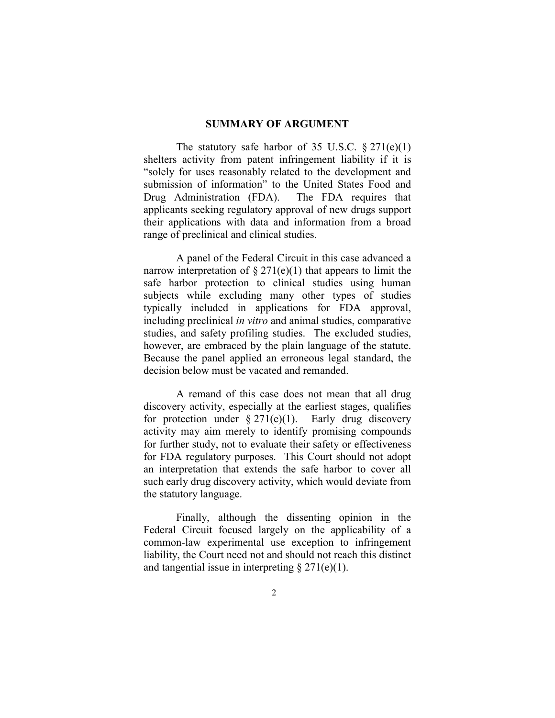#### **SUMMARY OF ARGUMENT**

The statutory safe harbor of 35 U.S.C.  $\S 271(e)(1)$ shelters activity from patent infringement liability if it is "solely for uses reasonably related to the development and submission of information" to the United States Food and Drug Administration (FDA). The FDA requires that applicants seeking regulatory approval of new drugs support their applications with data and information from a broad range of preclinical and clinical studies.

A panel of the Federal Circuit in this case advanced a narrow interpretation of  $\S 271(e)(1)$  that appears to limit the safe harbor protection to clinical studies using human subjects while excluding many other types of studies typically included in applications for FDA approval, including preclinical *in vitro* and animal studies, comparative studies, and safety profiling studies. The excluded studies, however, are embraced by the plain language of the statute. Because the panel applied an erroneous legal standard, the decision below must be vacated and remanded.

A remand of this case does not mean that all drug discovery activity, especially at the earliest stages, qualifies for protection under  $\S 271(e)(1)$ . Early drug discovery activity may aim merely to identify promising compounds for further study, not to evaluate their safety or effectiveness for FDA regulatory purposes. This Court should not adopt an interpretation that extends the safe harbor to cover all such early drug discovery activity, which would deviate from the statutory language.

Finally, although the dissenting opinion in the Federal Circuit focused largely on the applicability of a common-law experimental use exception to infringement liability, the Court need not and should not reach this distinct and tangential issue in interpreting  $\S 271(e)(1)$ .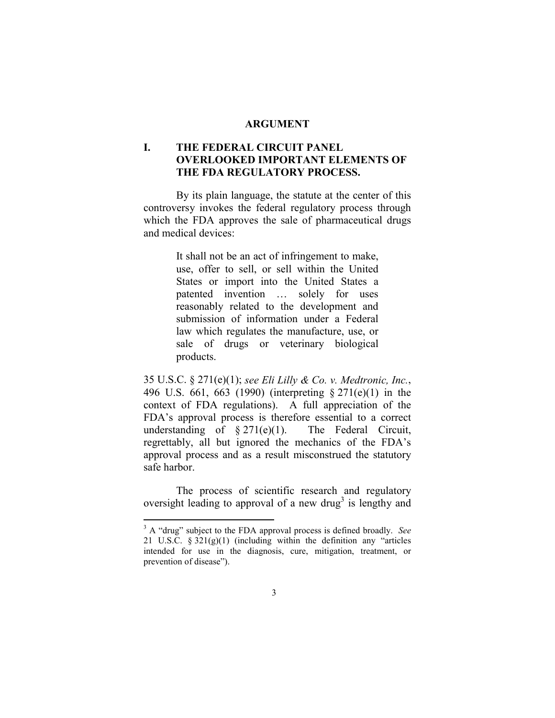#### **ARGUMENT**

# **I. THE FEDERAL CIRCUIT PANEL OVERLOOKED IMPORTANT ELEMENTS OF THE FDA REGULATORY PROCESS.**

By its plain language, the statute at the center of this controversy invokes the federal regulatory process through which the FDA approves the sale of pharmaceutical drugs and medical devices:

> It shall not be an act of infringement to make, use, offer to sell, or sell within the United States or import into the United States a patented invention … solely for uses reasonably related to the development and submission of information under a Federal law which regulates the manufacture, use, or sale of drugs or veterinary biological products.

35 U.S.C. § 271(e)(1); *see Eli Lilly & Co. v. Medtronic, Inc.*, 496 U.S. 661, 663 (1990) (interpreting § 271(e)(1) in the context of FDA regulations). A full appreciation of the FDA's approval process is therefore essential to a correct understanding of  $\S 271(e)(1)$ . The Federal Circuit, regrettably, all but ignored the mechanics of the FDA's approval process and as a result misconstrued the statutory safe harbor.

The process of scientific research and regulatory oversight leading to approval of a new drug<sup>3</sup> is lengthy and

<sup>3</sup> A "drug" subject to the FDA approval process is defined broadly. *See* 21 U.S.C. § 321(g)(1) (including within the definition any "articles intended for use in the diagnosis, cure, mitigation, treatment, or prevention of disease").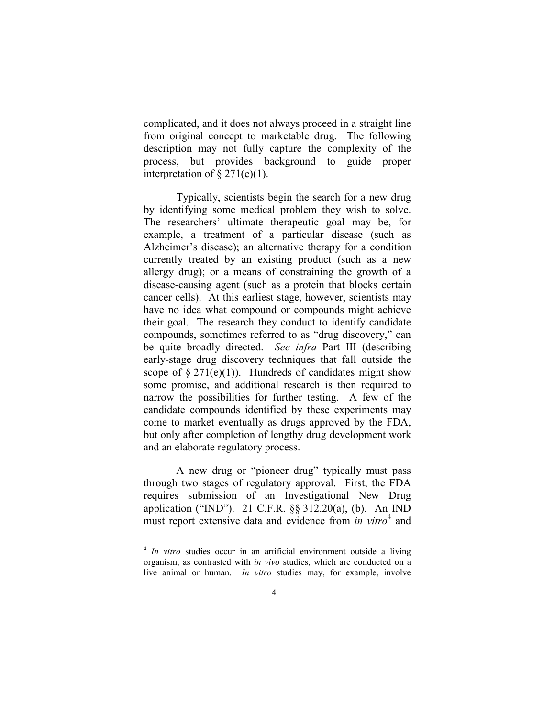complicated, and it does not always proceed in a straight line from original concept to marketable drug. The following description may not fully capture the complexity of the process, but provides background to guide proper interpretation of  $\S 271(e)(1)$ .

Typically, scientists begin the search for a new drug by identifying some medical problem they wish to solve. The researchers' ultimate therapeutic goal may be, for example, a treatment of a particular disease (such as Alzheimer's disease); an alternative therapy for a condition currently treated by an existing product (such as a new allergy drug); or a means of constraining the growth of a disease-causing agent (such as a protein that blocks certain cancer cells). At this earliest stage, however, scientists may have no idea what compound or compounds might achieve their goal. The research they conduct to identify candidate compounds, sometimes referred to as "drug discovery," can be quite broadly directed. *See infra* Part III (describing early-stage drug discovery techniques that fall outside the scope of  $\S 271(e)(1)$ . Hundreds of candidates might show some promise, and additional research is then required to narrow the possibilities for further testing. A few of the candidate compounds identified by these experiments may come to market eventually as drugs approved by the FDA, but only after completion of lengthy drug development work and an elaborate regulatory process.

A new drug or "pioneer drug" typically must pass through two stages of regulatory approval. First, the FDA requires submission of an Investigational New Drug application ("IND"). 21 C.F.R. §§ 312.20(a), (b). An IND must report extensive data and evidence from *in vitro*<sup>4</sup> and

<sup>4</sup> *In vitro* studies occur in an artificial environment outside a living organism, as contrasted with *in vivo* studies, which are conducted on a live animal or human. *In vitro* studies may, for example, involve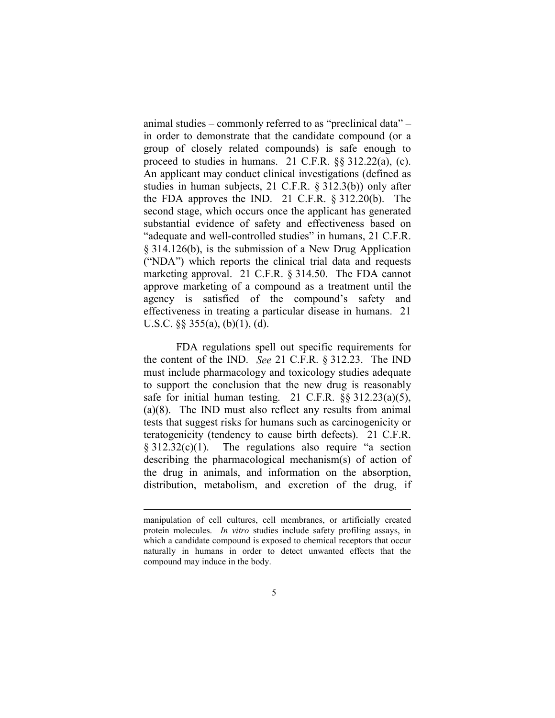animal studies – commonly referred to as "preclinical data" – in order to demonstrate that the candidate compound (or a group of closely related compounds) is safe enough to proceed to studies in humans. 21 C.F.R. §§ 312.22(a), (c). An applicant may conduct clinical investigations (defined as studies in human subjects, 21 C.F.R. § 312.3(b)) only after the FDA approves the IND. 21 C.F.R. § 312.20(b). The second stage, which occurs once the applicant has generated substantial evidence of safety and effectiveness based on "adequate and well-controlled studies" in humans, 21 C.F.R. § 314.126(b), is the submission of a New Drug Application ("NDA") which reports the clinical trial data and requests marketing approval. 21 C.F.R. § 314.50. The FDA cannot approve marketing of a compound as a treatment until the agency is satisfied of the compound's safety and effectiveness in treating a particular disease in humans. 21 U.S.C.  $\S$ § 355(a), (b)(1), (d).

FDA regulations spell out specific requirements for the content of the IND. *See* 21 C.F.R. § 312.23. The IND must include pharmacology and toxicology studies adequate to support the conclusion that the new drug is reasonably safe for initial human testing. 21 C.F.R. §§ 312.23(a)(5), (a)(8). The IND must also reflect any results from animal tests that suggest risks for humans such as carcinogenicity or teratogenicity (tendency to cause birth defects). 21 C.F.R.  $§ 312.32(c)(1)$ . The regulations also require "a section describing the pharmacological mechanism(s) of action of the drug in animals, and information on the absorption, distribution, metabolism, and excretion of the drug, if

manipulation of cell cultures, cell membranes, or artificially created protein molecules. *In vitro* studies include safety profiling assays, in which a candidate compound is exposed to chemical receptors that occur naturally in humans in order to detect unwanted effects that the compound may induce in the body.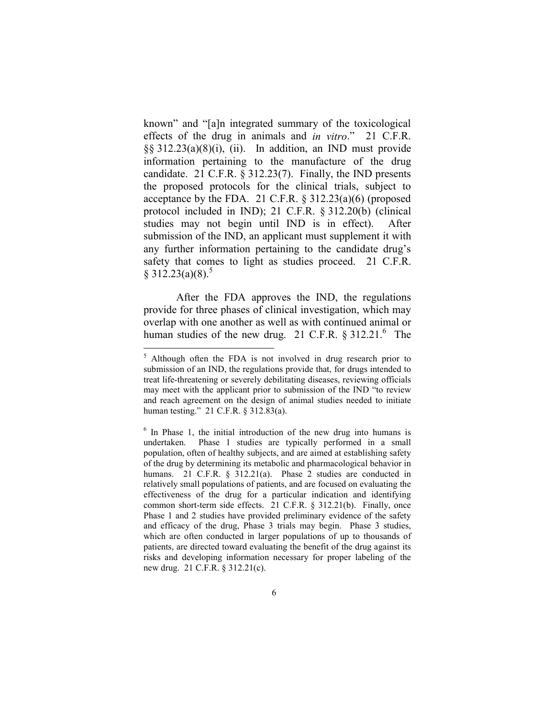known" and "[a]n integrated summary of the toxicological effects of the drug in animals and *in vitro*." 21 C.F.R. §§ 312.23(a)(8)(i), (ii). In addition, an IND must provide information pertaining to the manufacture of the drug candidate. 21 C.F.R. § 312.23(7). Finally, the IND presents the proposed protocols for the clinical trials, subject to acceptance by the FDA. 21 C.F.R. § 312.23(a)(6) (proposed protocol included in IND); 21 C.F.R. § 312.20(b) (clinical studies may not begin until IND is in effect). After submission of the IND, an applicant must supplement it with any further information pertaining to the candidate drug's safety that comes to light as studies proceed. 21 C.F.R.  $§ 312.23(a)(8).^5$ 

After the FDA approves the IND, the regulations provide for three phases of clinical investigation, which may overlap with one another as well as with continued animal or human studies of the new drug. 21 C.F.R.  $\S 312.21$ . The

<sup>&</sup>lt;sup>5</sup> Although often the FDA is not involved in drug research prior to submission of an IND, the regulations provide that, for drugs intended to treat life-threatening or severely debilitating diseases, reviewing officials may meet with the applicant prior to submission of the IND "to review and reach agreement on the design of animal studies needed to initiate human testing." 21 C.F.R. § 312.83(a).

<sup>&</sup>lt;sup>6</sup> In Phase 1, the initial introduction of the new drug into humans is undertaken. Phase 1 studies are typically performed in a small population, often of healthy subjects, and are aimed at establishing safety of the drug by determining its metabolic and pharmacological behavior in humans. 21 C.F.R. § 312.21(a). Phase 2 studies are conducted in relatively small populations of patients, and are focused on evaluating the effectiveness of the drug for a particular indication and identifying common short-term side effects. 21 C.F.R. § 312.21(b). Finally, once Phase 1 and 2 studies have provided preliminary evidence of the safety and efficacy of the drug, Phase 3 trials may begin. Phase 3 studies, which are often conducted in larger populations of up to thousands of patients, are directed toward evaluating the benefit of the drug against its risks and developing information necessary for proper labeling of the new drug. 21 C.F.R. § 312.21(c).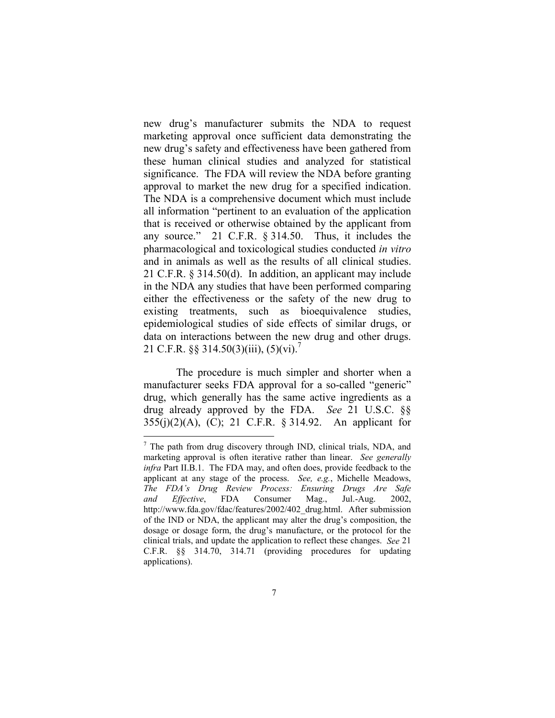new drug's manufacturer submits the NDA to request marketing approval once sufficient data demonstrating the new drug's safety and effectiveness have been gathered from these human clinical studies and analyzed for statistical significance. The FDA will review the NDA before granting approval to market the new drug for a specified indication. The NDA is a comprehensive document which must include all information "pertinent to an evaluation of the application that is received or otherwise obtained by the applicant from any source." 21 C.F.R. § 314.50. Thus, it includes the pharmacological and toxicological studies conducted *in vitro* and in animals as well as the results of all clinical studies. 21 C.F.R. § 314.50(d). In addition, an applicant may include in the NDA any studies that have been performed comparing either the effectiveness or the safety of the new drug to existing treatments, such as bioequivalence studies, epidemiological studies of side effects of similar drugs, or data on interactions between the new drug and other drugs. 21 C.F.R.  $\S$ § 314.50(3)(iii), (5)(vi).<sup>7</sup>

The procedure is much simpler and shorter when a manufacturer seeks FDA approval for a so-called "generic" drug, which generally has the same active ingredients as a drug already approved by the FDA. *See* 21 U.S.C. §§ 355(j)(2)(A), (C); 21 C.F.R. § 314.92. An applicant for

 $7$  The path from drug discovery through IND, clinical trials, NDA, and marketing approval is often iterative rather than linear. *See generally infra* Part II.B.1. The FDA may, and often does, provide feedback to the applicant at any stage of the process. *See, e.g.*, Michelle Meadows, *The FDA's Drug Review Process: Ensuring Drugs Are Safe and Effective*, FDA Consumer Mag., Jul.-Aug. 2002, http://www.fda.gov/fdac/features/2002/402\_drug.html. After submission of the IND or NDA, the applicant may alter the drug's composition, the dosage or dosage form, the drug's manufacture, or the protocol for the clinical trials, and update the application to reflect these changes. *See* 21 C.F.R. §§ 314.70, 314.71 (providing procedures for updating applications).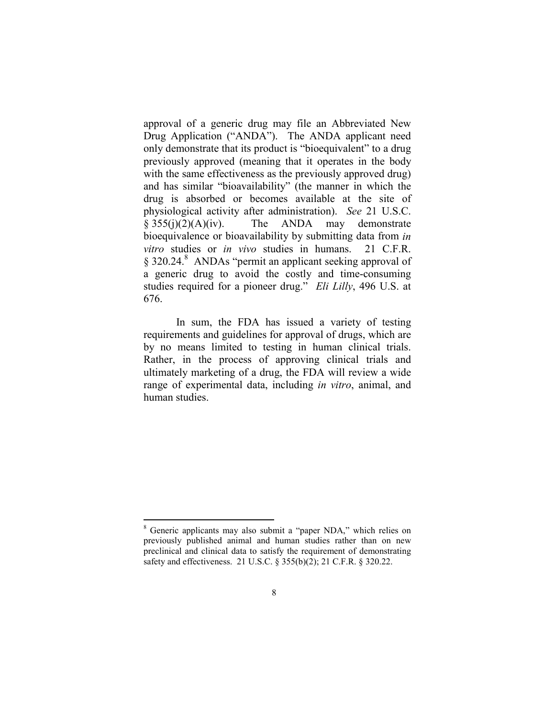approval of a generic drug may file an Abbreviated New Drug Application ("ANDA"). The ANDA applicant need only demonstrate that its product is "bioequivalent" to a drug previously approved (meaning that it operates in the body with the same effectiveness as the previously approved drug) and has similar "bioavailability" (the manner in which the drug is absorbed or becomes available at the site of physiological activity after administration). *See* 21 U.S.C.  $§ 355(j)(2)(A)(iv).$  The ANDA may demonstrate bioequivalence or bioavailability by submitting data from *in vitro* studies or *in vivo* studies in humans. 21 C.F.R. § 320.24.<sup>8</sup> ANDAs "permit an applicant seeking approval of a generic drug to avoid the costly and time-consuming studies required for a pioneer drug." *Eli Lilly*, 496 U.S. at 676.

In sum, the FDA has issued a variety of testing requirements and guidelines for approval of drugs, which are by no means limited to testing in human clinical trials. Rather, in the process of approving clinical trials and ultimately marketing of a drug, the FDA will review a wide range of experimental data, including *in vitro*, animal, and human studies.

<sup>8</sup> Generic applicants may also submit a "paper NDA," which relies on previously published animal and human studies rather than on new preclinical and clinical data to satisfy the requirement of demonstrating safety and effectiveness. 21 U.S.C. § 355(b)(2); 21 C.F.R. § 320.22.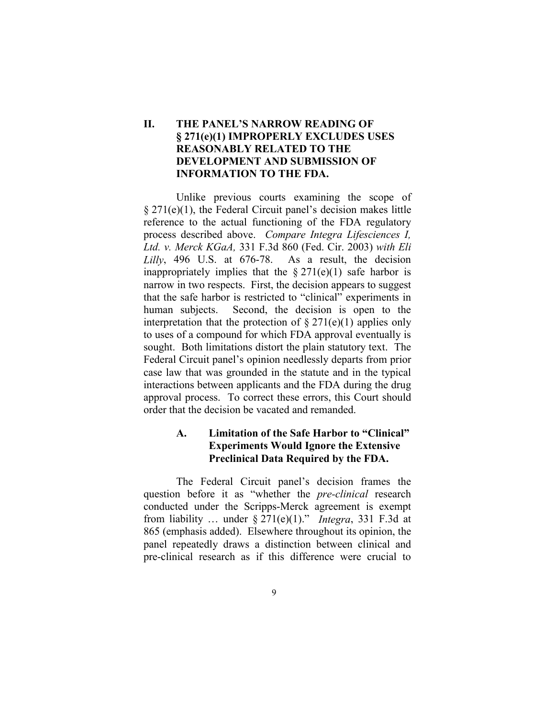# **II. THE PANEL'S NARROW READING OF § 271(e)(1) IMPROPERLY EXCLUDES USES REASONABLY RELATED TO THE DEVELOPMENT AND SUBMISSION OF INFORMATION TO THE FDA.**

Unlike previous courts examining the scope of  $§$  271(e)(1), the Federal Circuit panel's decision makes little reference to the actual functioning of the FDA regulatory process described above. *Compare Integra Lifesciences I, Ltd. v. Merck KGaA,* 331 F.3d 860 (Fed. Cir. 2003) *with Eli Lilly*, 496 U.S. at 676-78. As a result, the decision inappropriately implies that the  $\S 271(e)(1)$  safe harbor is narrow in two respects. First, the decision appears to suggest that the safe harbor is restricted to "clinical" experiments in human subjects. Second, the decision is open to the interpretation that the protection of  $\S 271(e)(1)$  applies only to uses of a compound for which FDA approval eventually is sought. Both limitations distort the plain statutory text. The Federal Circuit panel's opinion needlessly departs from prior case law that was grounded in the statute and in the typical interactions between applicants and the FDA during the drug approval process. To correct these errors, this Court should order that the decision be vacated and remanded.

# **A. Limitation of the Safe Harbor to "Clinical" Experiments Would Ignore the Extensive Preclinical Data Required by the FDA.**

The Federal Circuit panel's decision frames the question before it as "whether the *pre-clinical* research conducted under the Scripps-Merck agreement is exempt from liability ... under  $\S 271(e)(1)$ ." *Integra*, 331 F.3d at 865 (emphasis added). Elsewhere throughout its opinion, the panel repeatedly draws a distinction between clinical and pre-clinical research as if this difference were crucial to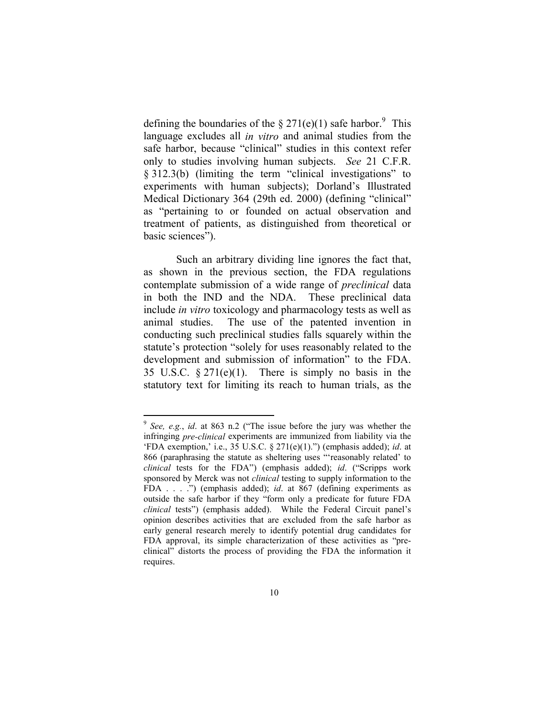defining the boundaries of the  $\S 271(e)(1)$  safe harbor.<sup>9</sup> This language excludes all *in vitro* and animal studies from the safe harbor, because "clinical" studies in this context refer only to studies involving human subjects. *See* 21 C.F.R. § 312.3(b) (limiting the term "clinical investigations" to experiments with human subjects); Dorland's Illustrated Medical Dictionary 364 (29th ed. 2000) (defining "clinical" as "pertaining to or founded on actual observation and treatment of patients, as distinguished from theoretical or basic sciences").

Such an arbitrary dividing line ignores the fact that, as shown in the previous section, the FDA regulations contemplate submission of a wide range of *preclinical* data in both the IND and the NDA. These preclinical data include *in vitro* toxicology and pharmacology tests as well as animal studies. The use of the patented invention in conducting such preclinical studies falls squarely within the statute's protection "solely for uses reasonably related to the development and submission of information" to the FDA. 35 U.S.C. § 271(e)(1). There is simply no basis in the statutory text for limiting its reach to human trials, as the

<sup>9</sup> *See, e.g.*, *id*. at 863 n.2 ("The issue before the jury was whether the infringing *pre-clinical* experiments are immunized from liability via the 'FDA exemption,' i.e., 35 U.S.C. § 271(e)(1).") (emphasis added); *id*. at 866 (paraphrasing the statute as sheltering uses "'reasonably related' to *clinical* tests for the FDA") (emphasis added); *id*. ("Scripps work sponsored by Merck was not *clinical* testing to supply information to the FDA . . . .") (emphasis added); *id*. at 867 (defining experiments as outside the safe harbor if they "form only a predicate for future FDA *clinical* tests") (emphasis added). While the Federal Circuit panel's opinion describes activities that are excluded from the safe harbor as early general research merely to identify potential drug candidates for FDA approval, its simple characterization of these activities as "preclinical" distorts the process of providing the FDA the information it requires.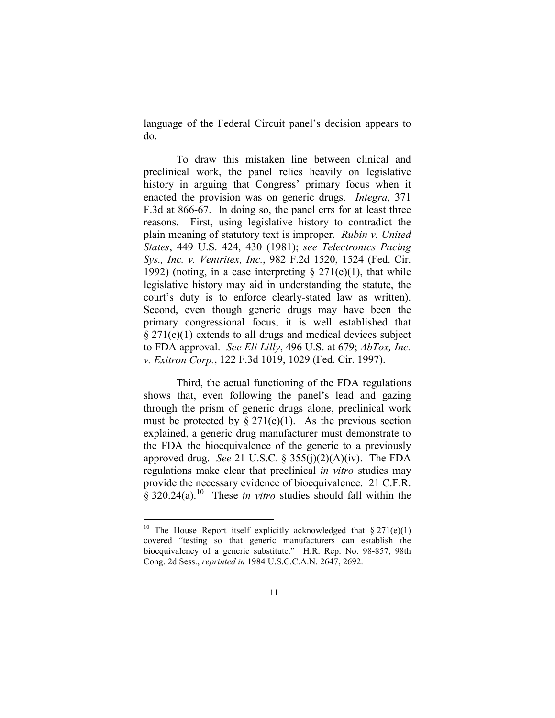language of the Federal Circuit panel's decision appears to do.

To draw this mistaken line between clinical and preclinical work, the panel relies heavily on legislative history in arguing that Congress' primary focus when it enacted the provision was on generic drugs. *Integra*, 371 F.3d at 866-67. In doing so, the panel errs for at least three reasons. First, using legislative history to contradict the plain meaning of statutory text is improper. *Rubin v. United States*, 449 U.S. 424, 430 (1981); *see Telectronics Pacing Sys., Inc. v. Ventritex, Inc.*, 982 F.2d 1520, 1524 (Fed. Cir. 1992) (noting, in a case interpreting  $\S 271(e)(1)$ , that while legislative history may aid in understanding the statute, the court's duty is to enforce clearly-stated law as written). Second, even though generic drugs may have been the primary congressional focus, it is well established that § 271(e)(1) extends to all drugs and medical devices subject to FDA approval. *See Eli Lilly*, 496 U.S. at 679; *AbTox, Inc. v. Exitron Corp.*, 122 F.3d 1019, 1029 (Fed. Cir. 1997).

Third, the actual functioning of the FDA regulations shows that, even following the panel's lead and gazing through the prism of generic drugs alone, preclinical work must be protected by  $\S 271(e)(1)$ . As the previous section explained, a generic drug manufacturer must demonstrate to the FDA the bioequivalence of the generic to a previously approved drug. *See* 21 U.S.C.  $\S$  355(j)(2)(A)(iv). The FDA regulations make clear that preclinical *in vitro* studies may provide the necessary evidence of bioequivalence. 21 C.F.R.  $\frac{1}{8}$  320.24(a).<sup>10</sup> These *in vitro* studies should fall within the

<sup>&</sup>lt;sup>10</sup> The House Report itself explicitly acknowledged that  $\S 271(e)(1)$ covered "testing so that generic manufacturers can establish the bioequivalency of a generic substitute." H.R. Rep. No. 98-857, 98th Cong. 2d Sess., *reprinted in* 1984 U.S.C.C.A.N. 2647, 2692.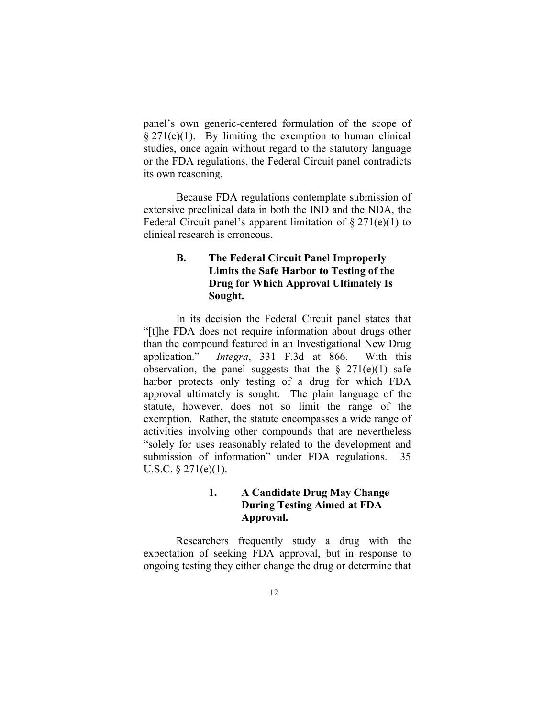panel's own generic-centered formulation of the scope of  $§$  271(e)(1). By limiting the exemption to human clinical studies, once again without regard to the statutory language or the FDA regulations, the Federal Circuit panel contradicts its own reasoning.

Because FDA regulations contemplate submission of extensive preclinical data in both the IND and the NDA, the Federal Circuit panel's apparent limitation of  $\S 271(e)(1)$  to clinical research is erroneous.

# **B. The Federal Circuit Panel Improperly Limits the Safe Harbor to Testing of the Drug for Which Approval Ultimately Is Sought.**

In its decision the Federal Circuit panel states that "[t]he FDA does not require information about drugs other than the compound featured in an Investigational New Drug application." *Integra*, 331 F.3d at 866. With this observation, the panel suggests that the  $\S$  271(e)(1) safe harbor protects only testing of a drug for which FDA approval ultimately is sought. The plain language of the statute, however, does not so limit the range of the exemption. Rather, the statute encompasses a wide range of activities involving other compounds that are nevertheless "solely for uses reasonably related to the development and submission of information" under FDA regulations. 35 U.S.C. § 271(e)(1).

# **1. A Candidate Drug May Change During Testing Aimed at FDA Approval.**

Researchers frequently study a drug with the expectation of seeking FDA approval, but in response to ongoing testing they either change the drug or determine that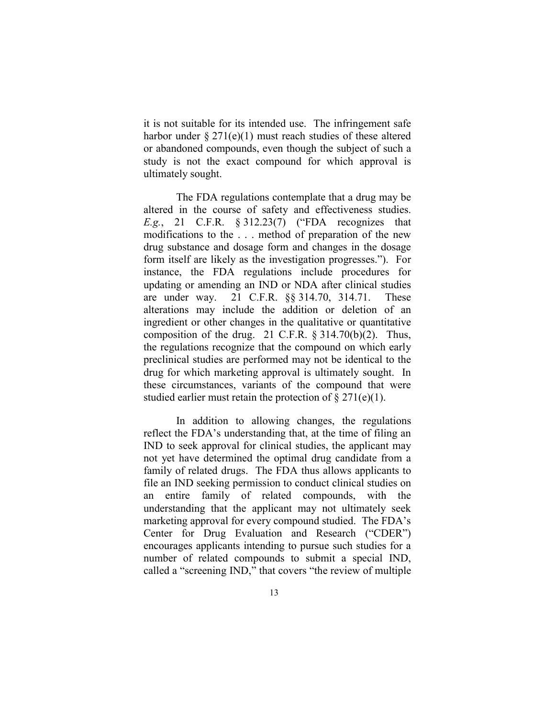it is not suitable for its intended use. The infringement safe harbor under  $\S 271(e)(1)$  must reach studies of these altered or abandoned compounds, even though the subject of such a study is not the exact compound for which approval is ultimately sought.

The FDA regulations contemplate that a drug may be altered in the course of safety and effectiveness studies. *E.g.*, 21 C.F.R. § 312.23(7) ("FDA recognizes that modifications to the . . . method of preparation of the new drug substance and dosage form and changes in the dosage form itself are likely as the investigation progresses."). For instance, the FDA regulations include procedures for updating or amending an IND or NDA after clinical studies are under way. 21 C.F.R. §§ 314.70, 314.71. These alterations may include the addition or deletion of an ingredient or other changes in the qualitative or quantitative composition of the drug. 21 C.F.R.  $\S$  314.70(b)(2). Thus, the regulations recognize that the compound on which early preclinical studies are performed may not be identical to the drug for which marketing approval is ultimately sought. In these circumstances, variants of the compound that were studied earlier must retain the protection of  $\S 271(e)(1)$ .

In addition to allowing changes, the regulations reflect the FDA's understanding that, at the time of filing an IND to seek approval for clinical studies, the applicant may not yet have determined the optimal drug candidate from a family of related drugs. The FDA thus allows applicants to file an IND seeking permission to conduct clinical studies on an entire family of related compounds, with the understanding that the applicant may not ultimately seek marketing approval for every compound studied. The FDA's Center for Drug Evaluation and Research ("CDER") encourages applicants intending to pursue such studies for a number of related compounds to submit a special IND, called a "screening IND," that covers "the review of multiple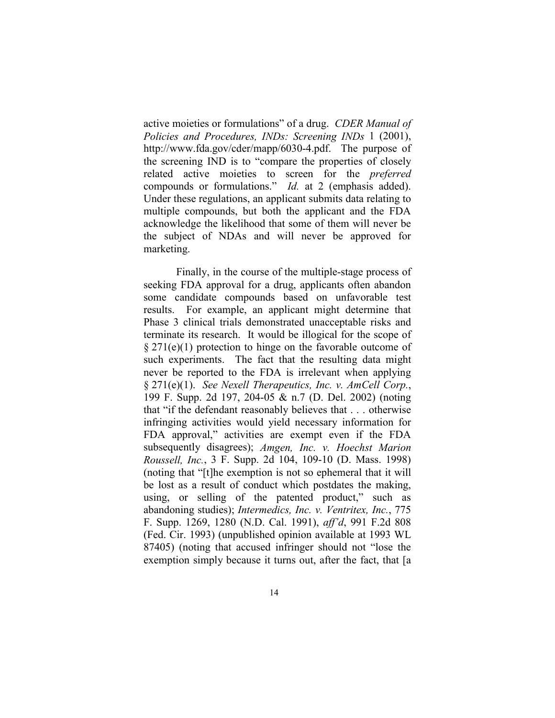active moieties or formulations" of a drug. *CDER Manual of Policies and Procedures, INDs: Screening INDs* 1 (2001), http://www.fda.gov/cder/mapp/6030-4.pdf. The purpose of the screening IND is to "compare the properties of closely related active moieties to screen for the *preferred*  compounds or formulations." *Id.* at 2 (emphasis added). Under these regulations, an applicant submits data relating to multiple compounds, but both the applicant and the FDA acknowledge the likelihood that some of them will never be the subject of NDAs and will never be approved for marketing.

Finally, in the course of the multiple-stage process of seeking FDA approval for a drug, applicants often abandon some candidate compounds based on unfavorable test results. For example, an applicant might determine that Phase 3 clinical trials demonstrated unacceptable risks and terminate its research. It would be illogical for the scope of § 271(e)(1) protection to hinge on the favorable outcome of such experiments. The fact that the resulting data might never be reported to the FDA is irrelevant when applying § 271(e)(1). *See Nexell Therapeutics, Inc. v. AmCell Corp.*, 199 F. Supp. 2d 197, 204-05 & n.7 (D. Del. 2002) (noting that "if the defendant reasonably believes that . . . otherwise infringing activities would yield necessary information for FDA approval," activities are exempt even if the FDA subsequently disagrees); *Amgen, Inc. v. Hoechst Marion Roussell, Inc.*, 3 F. Supp. 2d 104, 109-10 (D. Mass. 1998) (noting that "[t]he exemption is not so ephemeral that it will be lost as a result of conduct which postdates the making, using, or selling of the patented product," such as abandoning studies); *Intermedics, Inc. v. Ventritex, Inc.*, 775 F. Supp. 1269, 1280 (N.D. Cal. 1991), *aff'd*, 991 F.2d 808 (Fed. Cir. 1993) (unpublished opinion available at 1993 WL 87405) (noting that accused infringer should not "lose the exemption simply because it turns out, after the fact, that [a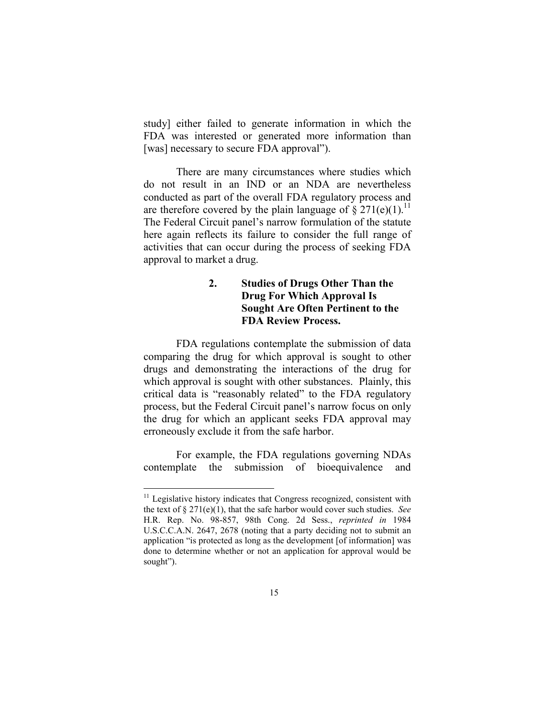study] either failed to generate information in which the FDA was interested or generated more information than [was] necessary to secure FDA approval").

There are many circumstances where studies which do not result in an IND or an NDA are nevertheless conducted as part of the overall FDA regulatory process and are therefore covered by the plain language of  $\S 271(e)(1)$ .<sup>11</sup> The Federal Circuit panel's narrow formulation of the statute here again reflects its failure to consider the full range of activities that can occur during the process of seeking FDA approval to market a drug.

# **2. Studies of Drugs Other Than the Drug For Which Approval Is Sought Are Often Pertinent to the FDA Review Process.**

FDA regulations contemplate the submission of data comparing the drug for which approval is sought to other drugs and demonstrating the interactions of the drug for which approval is sought with other substances. Plainly, this critical data is "reasonably related" to the FDA regulatory process, but the Federal Circuit panel's narrow focus on only the drug for which an applicant seeks FDA approval may erroneously exclude it from the safe harbor.

For example, the FDA regulations governing NDAs contemplate the submission of bioequivalence and

 $11$  Legislative history indicates that Congress recognized, consistent with the text of § 271(e)(1), that the safe harbor would cover such studies. *See*  H.R. Rep. No. 98-857, 98th Cong. 2d Sess., *reprinted in* 1984 U.S.C.C.A.N. 2647, 2678 (noting that a party deciding not to submit an application "is protected as long as the development [of information] was done to determine whether or not an application for approval would be sought").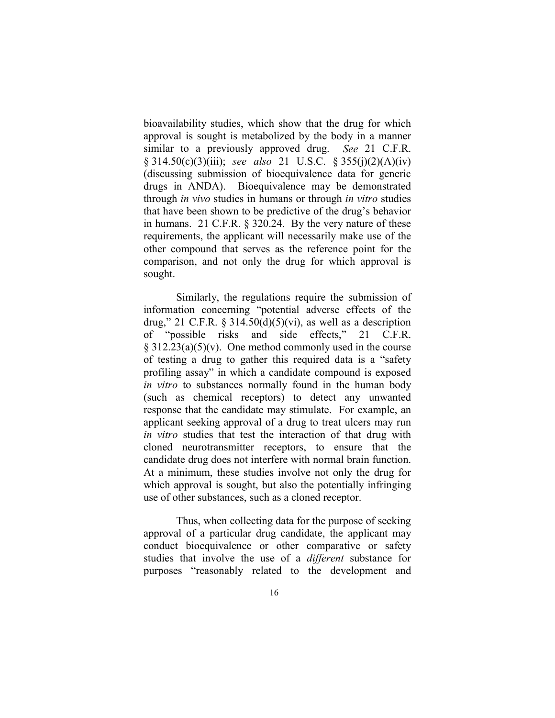bioavailability studies, which show that the drug for which approval is sought is metabolized by the body in a manner similar to a previously approved drug. *See* 21 C.F.R. § 314.50(c)(3)(iii); *see also* 21 U.S.C. § 355(j)(2)(A)(iv) (discussing submission of bioequivalence data for generic drugs in ANDA). Bioequivalence may be demonstrated through *in vivo* studies in humans or through *in vitro* studies that have been shown to be predictive of the drug's behavior in humans. 21 C.F.R. § 320.24. By the very nature of these requirements, the applicant will necessarily make use of the other compound that serves as the reference point for the comparison, and not only the drug for which approval is sought.

Similarly, the regulations require the submission of information concerning "potential adverse effects of the drug," 21 C.F.R.  $\S 314.50(d)(5)(vi)$ , as well as a description of "possible risks and side effects," 21 C.F.R.  $§ 312.23(a)(5)(v)$ . One method commonly used in the course of testing a drug to gather this required data is a "safety profiling assay" in which a candidate compound is exposed *in vitro* to substances normally found in the human body (such as chemical receptors) to detect any unwanted response that the candidate may stimulate. For example, an applicant seeking approval of a drug to treat ulcers may run *in vitro* studies that test the interaction of that drug with cloned neurotransmitter receptors, to ensure that the candidate drug does not interfere with normal brain function. At a minimum, these studies involve not only the drug for which approval is sought, but also the potentially infringing use of other substances, such as a cloned receptor.

Thus, when collecting data for the purpose of seeking approval of a particular drug candidate, the applicant may conduct bioequivalence or other comparative or safety studies that involve the use of a *different* substance for purposes "reasonably related to the development and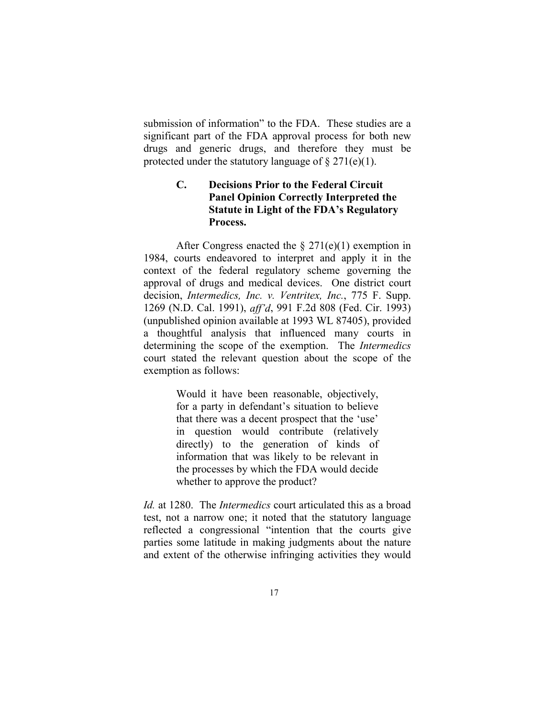submission of information" to the FDA. These studies are a significant part of the FDA approval process for both new drugs and generic drugs, and therefore they must be protected under the statutory language of  $\S 271(e)(1)$ .

# **C. Decisions Prior to the Federal Circuit Panel Opinion Correctly Interpreted the Statute in Light of the FDA's Regulatory Process.**

After Congress enacted the  $\S 271(e)(1)$  exemption in 1984, courts endeavored to interpret and apply it in the context of the federal regulatory scheme governing the approval of drugs and medical devices. One district court decision, *Intermedics, Inc. v. Ventritex, Inc.*, 775 F. Supp. 1269 (N.D. Cal. 1991), *aff'd*, 991 F.2d 808 (Fed. Cir. 1993) (unpublished opinion available at 1993 WL 87405), provided a thoughtful analysis that influenced many courts in determining the scope of the exemption. The *Intermedics*  court stated the relevant question about the scope of the exemption as follows:

> Would it have been reasonable, objectively, for a party in defendant's situation to believe that there was a decent prospect that the 'use' in question would contribute (relatively directly) to the generation of kinds of information that was likely to be relevant in the processes by which the FDA would decide whether to approve the product?

*Id.* at 1280. The *Intermedics* court articulated this as a broad test, not a narrow one; it noted that the statutory language reflected a congressional "intention that the courts give parties some latitude in making judgments about the nature and extent of the otherwise infringing activities they would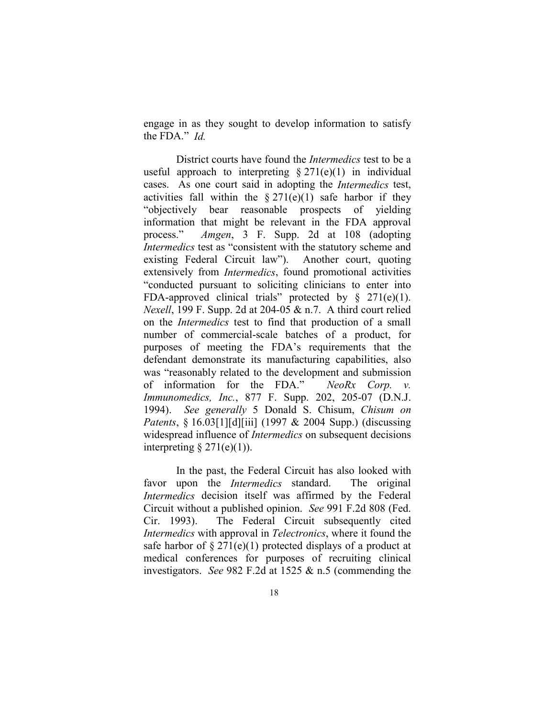engage in as they sought to develop information to satisfy the FDA." *Id.*

District courts have found the *Intermedics* test to be a useful approach to interpreting  $\S 271(e)(1)$  in individual cases. As one court said in adopting the *Intermedics* test, activities fall within the  $\S 271(e)(1)$  safe harbor if they "objectively bear reasonable prospects of yielding information that might be relevant in the FDA approval process." *Amgen*, 3 F. Supp. 2d at 108 (adopting *Intermedics* test as "consistent with the statutory scheme and existing Federal Circuit law"). Another court, quoting extensively from *Intermedics*, found promotional activities "conducted pursuant to soliciting clinicians to enter into FDA-approved clinical trials" protected by  $\S$  271(e)(1). *Nexell*, 199 F. Supp. 2d at 204-05 & n.7. A third court relied on the *Intermedics* test to find that production of a small number of commercial-scale batches of a product, for purposes of meeting the FDA's requirements that the defendant demonstrate its manufacturing capabilities, also was "reasonably related to the development and submission of information for the FDA." *NeoRx Corp. v. Immunomedics, Inc.*, 877 F. Supp. 202, 205-07 (D.N.J. 1994). *See generally* 5 Donald S. Chisum, *Chisum on Patents*, § 16.03[1][d][iii] (1997 & 2004 Supp.) (discussing widespread influence of *Intermedics* on subsequent decisions interpreting  $\S 271(e)(1)$ ).

In the past, the Federal Circuit has also looked with favor upon the *Intermedics* standard. The original *Intermedics* decision itself was affirmed by the Federal Circuit without a published opinion. *See* 991 F.2d 808 (Fed. Cir. 1993). The Federal Circuit subsequently cited *Intermedics* with approval in *Telectronics*, where it found the safe harbor of  $\S 271(e)(1)$  protected displays of a product at medical conferences for purposes of recruiting clinical investigators. *See* 982 F.2d at 1525 & n.5 (commending the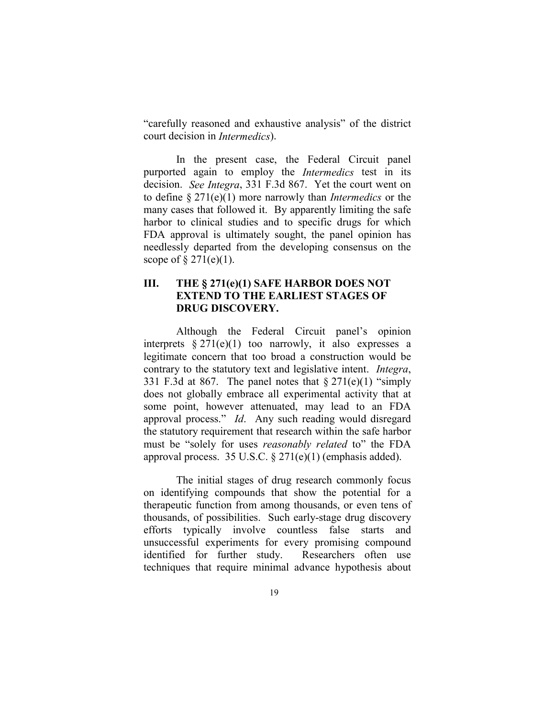"carefully reasoned and exhaustive analysis" of the district court decision in *Intermedics*).

In the present case, the Federal Circuit panel purported again to employ the *Intermedics* test in its decision. *See Integra*, 331 F.3d 867. Yet the court went on to define § 271(e)(1) more narrowly than *Intermedics* or the many cases that followed it. By apparently limiting the safe harbor to clinical studies and to specific drugs for which FDA approval is ultimately sought, the panel opinion has needlessly departed from the developing consensus on the scope of  $\S 271(e)(1)$ .

### **III. THE § 271(e)(1) SAFE HARBOR DOES NOT EXTEND TO THE EARLIEST STAGES OF DRUG DISCOVERY.**

Although the Federal Circuit panel's opinion interprets  $\S 271(e)(1)$  too narrowly, it also expresses a legitimate concern that too broad a construction would be contrary to the statutory text and legislative intent. *Integra*, 331 F.3d at 867. The panel notes that  $\S 271(e)(1)$  "simply does not globally embrace all experimental activity that at some point, however attenuated, may lead to an FDA approval process." *Id*. Any such reading would disregard the statutory requirement that research within the safe harbor must be "solely for uses *reasonably related* to" the FDA approval process. 35 U.S.C. § 271(e)(1) (emphasis added).

The initial stages of drug research commonly focus on identifying compounds that show the potential for a therapeutic function from among thousands, or even tens of thousands, of possibilities. Such early-stage drug discovery efforts typically involve countless false starts and unsuccessful experiments for every promising compound identified for further study. Researchers often use techniques that require minimal advance hypothesis about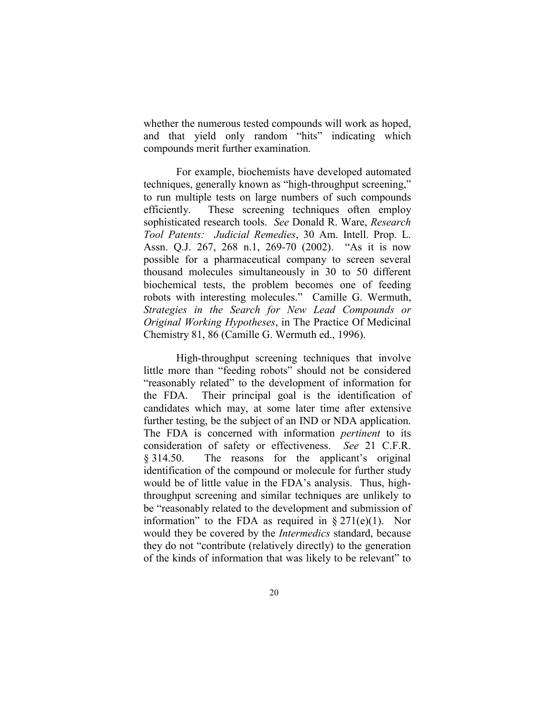whether the numerous tested compounds will work as hoped, and that yield only random "hits" indicating which compounds merit further examination.

For example, biochemists have developed automated techniques, generally known as "high-throughput screening," to run multiple tests on large numbers of such compounds efficiently. These screening techniques often employ sophisticated research tools. *See* Donald R. Ware, *Research Tool Patents: Judicial Remedies*, 30 Am. Intell. Prop. L. Assn. Q.J. 267, 268 n.1, 269-70 (2002). "As it is now possible for a pharmaceutical company to screen several thousand molecules simultaneously in 30 to 50 different biochemical tests, the problem becomes one of feeding robots with interesting molecules." Camille G. Wermuth, *Strategies in the Search for New Lead Compounds or Original Working Hypotheses*, in The Practice Of Medicinal Chemistry 81, 86 (Camille G. Wermuth ed., 1996).

High-throughput screening techniques that involve little more than "feeding robots" should not be considered "reasonably related" to the development of information for the FDA. Their principal goal is the identification of candidates which may, at some later time after extensive further testing, be the subject of an IND or NDA application. The FDA is concerned with information *pertinent* to its consideration of safety or effectiveness. *See* 21 C.F.R. § 314.50. The reasons for the applicant's original identification of the compound or molecule for further study would be of little value in the FDA's analysis. Thus, highthroughput screening and similar techniques are unlikely to be "reasonably related to the development and submission of information" to the FDA as required in  $\S 271(e)(1)$ . Nor would they be covered by the *Intermedics* standard, because they do not "contribute (relatively directly) to the generation of the kinds of information that was likely to be relevant" to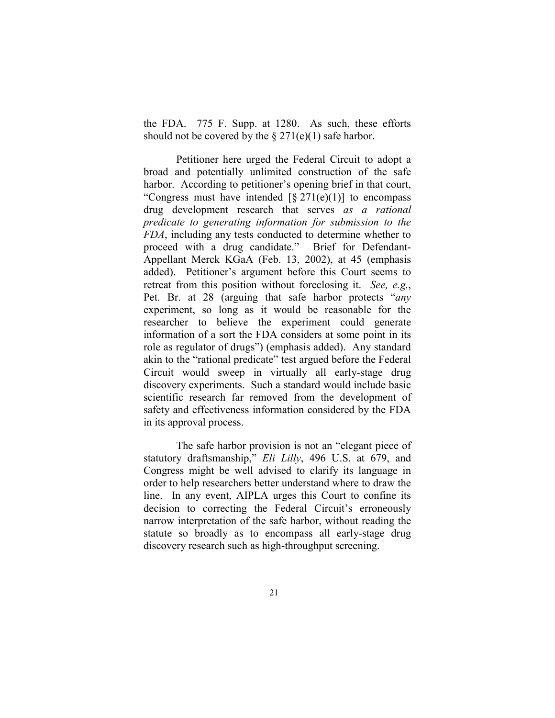the FDA. 775 F. Supp. at 1280. As such, these efforts should not be covered by the  $\S 271(e)(1)$  safe harbor.

Petitioner here urged the Federal Circuit to adopt a broad and potentially unlimited construction of the safe harbor. According to petitioner's opening brief in that court, "Congress must have intended  $\lceil \frac{8}{271(e)(1)} \rceil$  to encompass drug development research that serves *as a rational predicate to generating information for submission to the FDA*, including any tests conducted to determine whether to proceed with a drug candidate." Brief for Defendant-Appellant Merck KGaA (Feb. 13, 2002), at 45 (emphasis added). Petitioner's argument before this Court seems to retreat from this position without foreclosing it. *See, e.g.*, Pet. Br. at 28 (arguing that safe harbor protects "*any* experiment, so long as it would be reasonable for the researcher to believe the experiment could generate information of a sort the FDA considers at some point in its role as regulator of drugs") (emphasis added). Any standard akin to the "rational predicate" test argued before the Federal Circuit would sweep in virtually all early-stage drug discovery experiments. Such a standard would include basic scientific research far removed from the development of safety and effectiveness information considered by the FDA in its approval process.

The safe harbor provision is not an "elegant piece of statutory draftsmanship," *Eli Lilly*, 496 U.S. at 679, and Congress might be well advised to clarify its language in order to help researchers better understand where to draw the line. In any event, AIPLA urges this Court to confine its decision to correcting the Federal Circuit's erroneously narrow interpretation of the safe harbor, without reading the statute so broadly as to encompass all early-stage drug discovery research such as high-throughput screening.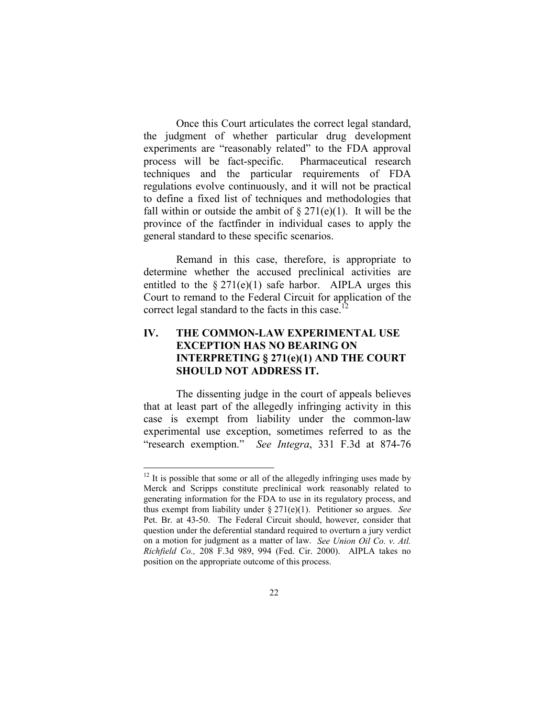Once this Court articulates the correct legal standard, the judgment of whether particular drug development experiments are "reasonably related" to the FDA approval process will be fact-specific. Pharmaceutical research techniques and the particular requirements of FDA regulations evolve continuously, and it will not be practical to define a fixed list of techniques and methodologies that fall within or outside the ambit of  $\S 271(e)(1)$ . It will be the province of the factfinder in individual cases to apply the general standard to these specific scenarios.

Remand in this case, therefore, is appropriate to determine whether the accused preclinical activities are entitled to the  $\S 271(e)(1)$  safe harbor. AIPLA urges this Court to remand to the Federal Circuit for application of the correct legal standard to the facts in this case.<sup>12</sup>

# **IV. THE COMMON-LAW EXPERIMENTAL USE EXCEPTION HAS NO BEARING ON INTERPRETING § 271(e)(1) AND THE COURT SHOULD NOT ADDRESS IT.**

The dissenting judge in the court of appeals believes that at least part of the allegedly infringing activity in this case is exempt from liability under the common-law experimental use exception, sometimes referred to as the "research exemption." *See Integra*, 331 F.3d at 874-76

 $12$  It is possible that some or all of the allegedly infringing uses made by Merck and Scripps constitute preclinical work reasonably related to generating information for the FDA to use in its regulatory process, and thus exempt from liability under § 271(e)(1). Petitioner so argues. *See* Pet. Br. at 43-50. The Federal Circuit should, however, consider that question under the deferential standard required to overturn a jury verdict on a motion for judgment as a matter of law. *See Union Oil Co. v. Atl. Richfield Co.,* 208 F.3d 989, 994 (Fed. Cir. 2000). AIPLA takes no position on the appropriate outcome of this process.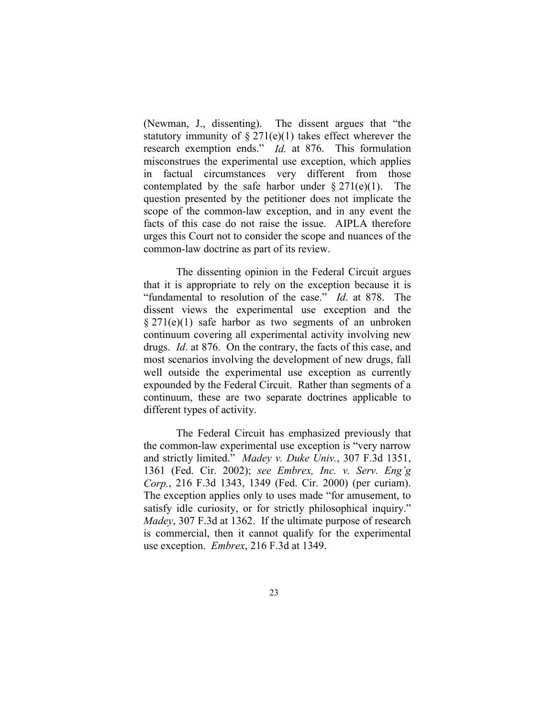(Newman, J., dissenting). The dissent argues that "the statutory immunity of  $\S 271(e)(1)$  takes effect wherever the research exemption ends." *Id.* at 876. This formulation misconstrues the experimental use exception, which applies in factual circumstances very different from those contemplated by the safe harbor under  $\S 271(e)(1)$ . The question presented by the petitioner does not implicate the scope of the common-law exception, and in any event the facts of this case do not raise the issue. AIPLA therefore urges this Court not to consider the scope and nuances of the common-law doctrine as part of its review.

The dissenting opinion in the Federal Circuit argues that it is appropriate to rely on the exception because it is "fundamental to resolution of the case." *Id*. at 878. The dissent views the experimental use exception and the § 271(e)(1) safe harbor as two segments of an unbroken continuum covering all experimental activity involving new drugs. *Id*. at 876. On the contrary, the facts of this case, and most scenarios involving the development of new drugs, fall well outside the experimental use exception as currently expounded by the Federal Circuit. Rather than segments of a continuum, these are two separate doctrines applicable to different types of activity.

The Federal Circuit has emphasized previously that the common-law experimental use exception is "very narrow and strictly limited." *Madey v. Duke Univ.*, 307 F.3d 1351, 1361 (Fed. Cir. 2002); *see Embrex, Inc. v. Serv. Eng'g Corp.*, 216 F.3d 1343, 1349 (Fed. Cir. 2000) (per curiam). The exception applies only to uses made "for amusement, to satisfy idle curiosity, or for strictly philosophical inquiry." *Madey*, 307 F.3d at 1362. If the ultimate purpose of research is commercial, then it cannot qualify for the experimental use exception. *Embrex*, 216 F.3d at 1349.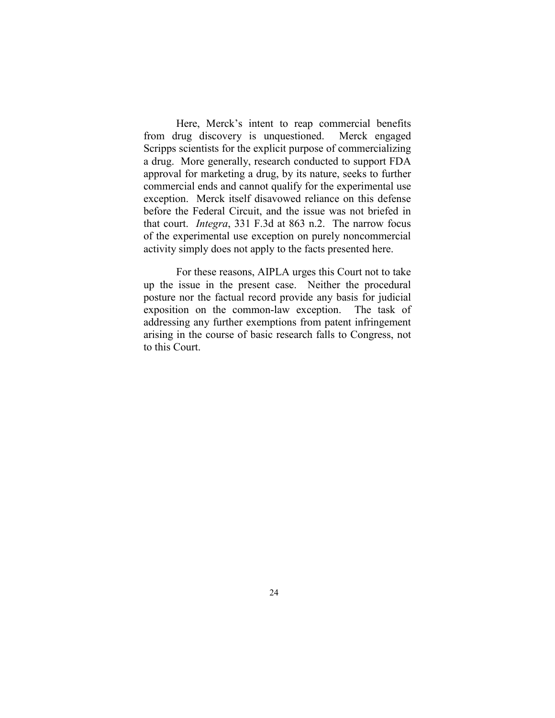Here, Merck's intent to reap commercial benefits from drug discovery is unquestioned. Merck engaged Scripps scientists for the explicit purpose of commercializing a drug. More generally, research conducted to support FDA approval for marketing a drug, by its nature, seeks to further commercial ends and cannot qualify for the experimental use exception. Merck itself disavowed reliance on this defense before the Federal Circuit, and the issue was not briefed in that court. *Integra*, 331 F.3d at 863 n.2. The narrow focus of the experimental use exception on purely noncommercial activity simply does not apply to the facts presented here.

For these reasons, AIPLA urges this Court not to take up the issue in the present case. Neither the procedural posture nor the factual record provide any basis for judicial exposition on the common-law exception. The task of addressing any further exemptions from patent infringement arising in the course of basic research falls to Congress, not to this Court.